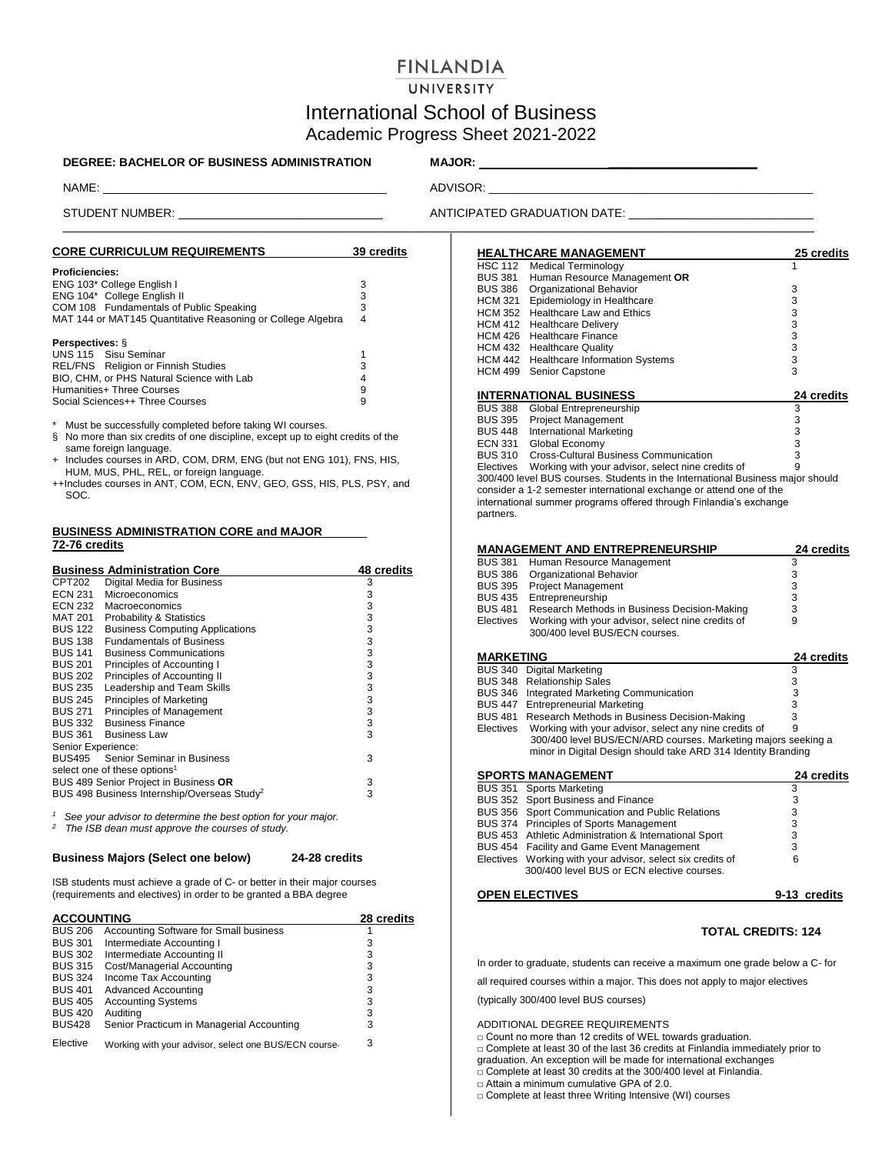# **FINLANDIA**

## UNIVERSITY

# International School of Business Academic Progress Sheet 2021-2022

### **DEGREE: BACHELOR OF BUSINESS ADMINISTRATION MAJOR: \_\_\_\_\_\_\_\_\_\_\_\_\_\_\_\_\_\_\_\_\_\_\_**

NAME: ADVISOR: \_\_\_\_\_\_\_\_\_\_\_\_\_\_\_\_\_\_\_\_\_\_\_\_\_\_\_\_\_\_\_\_\_\_\_\_\_\_\_\_\_\_\_\_\_\_\_\_\_\_

 $\_$  ,  $\_$  ,  $\_$  ,  $\_$  ,  $\_$  ,  $\_$  ,  $\_$  ,  $\_$  ,  $\_$  ,  $\_$  ,  $\_$  ,  $\_$  ,  $\_$  ,  $\_$  ,  $\_$  ,  $\_$  ,  $\_$  ,  $\_$  ,  $\_$  ,  $\_$  ,  $\_$  ,  $\_$  ,  $\_$  ,  $\_$  ,  $\_$  ,  $\_$  ,  $\_$  ,  $\_$  ,  $\_$  ,  $\_$  ,  $\_$  ,  $\_$  ,  $\_$  ,  $\_$  ,  $\_$  ,  $\_$  ,  $\_$  ,

# STUDENT NUMBER: \_ ANTICIPATED GRADUATION DATE: \_\_\_\_ \_\_\_\_\_\_\_\_\_\_\_\_\_\_\_\_\_\_\_

| <b>CORE CURRICULUM REQUIREMENTS</b>                         | 39 credits |
|-------------------------------------------------------------|------------|
| <b>Proficiencies:</b>                                       |            |
| ENG 103* College English I                                  | 3          |
| ENG 104* College English II                                 | 3          |
| COM 108 Fundamentals of Public Speaking                     | 3          |
| MAT 144 or MAT145 Quantitative Reasoning or College Algebra | 4          |
| Perspectives: §                                             |            |
| UNS 115 Sisu Seminar                                        |            |
| REL/FNS Religion or Finnish Studies                         | 3          |
| BIO, CHM, or PHS Natural Science with Lab                   | 4          |
| Humanities+ Three Courses                                   | 9          |
| Social Sciences++ Three Courses                             | 9          |

Must be successfully completed before taking WI courses.

- § No more than six credits of one discipline, except up to eight credits of the same foreign language.
- + Includes courses in ARD, COM, DRM, ENG (but not ENG 101), FNS, HIS, HUM, MUS, PHL, REL, or foreign language.
- ++Includes courses in ANT, COM, ECN, ENV, GEO, GSS, HIS, PLS, PSY, and SOC.

### **BUSINESS ADMINISTRATION CORE and MAJOR 72-76 credits**

|                    | <b>Business Administration Core</b>                     | 48 credits |
|--------------------|---------------------------------------------------------|------------|
| CPT202             | Digital Media for Business                              | 3          |
| <b>ECN 231</b>     | Microeconomics                                          | 3          |
| ECN 232            | Macroeconomics                                          | 3          |
| MAT 201            | Probability & Statistics                                | 3          |
| <b>BUS 122</b>     | <b>Business Computing Applications</b>                  | 3          |
|                    | BUS 138 Fundamentals of Business                        | 3          |
| <b>BUS 141</b>     | <b>Business Communications</b>                          | 3          |
| BUS 201            | Principles of Accounting I                              | 3          |
| <b>BUS 202</b>     | Principles of Accounting II                             | 3          |
| <b>BUS 235</b>     | Leadership and Team Skills                              | 3          |
| BUS 245            | Principles of Marketing                                 | 3          |
|                    | BUS 271 Principles of Management                        | 3          |
|                    | <b>BUS 332 Business Finance</b>                         | 3          |
|                    | BUS 361 Business Law                                    | 3          |
| Senior Experience: |                                                         |            |
|                    | BUS495 Senior Seminar in Business                       | 3          |
|                    | select one of these options <sup>1</sup>                |            |
|                    | BUS 489 Senior Project in Business OR                   | 3          |
|                    | BUS 498 Business Internship/Overseas Study <sup>2</sup> | 3          |
|                    |                                                         |            |

*1* <sup>1</sup> See your advisor to determine the best option for your major.<br><sup>2</sup> The ISB dean must approve the courses of study.

*<sup>2</sup>The ISB dean must approve the courses of study.*

### **Business Majors (Select one below) 24-28 credits**

ISB students must achieve a grade of C- or better in their major courses (requirements and electives) in order to be granted a BBA degree

| <b>ACCOUNTING</b> |                                                       | 28 credits |
|-------------------|-------------------------------------------------------|------------|
| <b>BUS 206</b>    | Accounting Software for Small business                |            |
| <b>BUS 301</b>    | Intermediate Accounting I                             | з          |
| <b>BUS 302</b>    | Intermediate Accounting II                            | 3          |
| <b>BUS 315</b>    | Cost/Managerial Accounting                            | 3          |
| <b>BUS 324</b>    | Income Tax Accounting                                 | 3          |
| <b>BUS 401</b>    | <b>Advanced Accounting</b>                            | 3          |
| <b>BUS 405</b>    | <b>Accounting Systems</b>                             | 3          |
| <b>BUS 420</b>    | Auditing                                              | 3          |
| <b>BUS428</b>     | Senior Practicum in Managerial Accounting             | 3          |
| Elective          | Working with your advisor, select one BUS/ECN course- | з          |

|                | <b>HEALTHCARE MANAGEMENT</b>                                                   | 25 credits |
|----------------|--------------------------------------------------------------------------------|------------|
|                | HSC 112 Medical Terminology                                                    |            |
| BUS 381        | Human Resource Management OR                                                   |            |
| <b>BUS 386</b> | Organizational Behavior                                                        | 3          |
| HCM 321        | Epidemiology in Healthcare                                                     | 3          |
| HCM 352        | <b>Healthcare Law and Ethics</b>                                               | 3          |
| HCM 412        | <b>Healthcare Delivery</b>                                                     | 3          |
| HCM 426        | <b>Healthcare Finance</b>                                                      | 3          |
| HCM 432        | <b>Healthcare Quality</b>                                                      | 3          |
| HCM 442        | <b>Healthcare Information Systems</b>                                          | 3          |
| HCM 499        | Senior Capstone                                                                | 3          |
|                |                                                                                |            |
|                |                                                                                |            |
|                | <b>INTERNATIONAL BUSINESS</b>                                                  | 24 credits |
| BUS 388        | Global Entrepreneurship                                                        | 3          |
| <b>BUS 395</b> | <b>Project Management</b>                                                      | 3          |
| <b>BUS 448</b> | <b>International Marketing</b>                                                 | 3          |
|                | ECN 331 Global Economy                                                         | 3          |
| <b>BUS 310</b> | Cross-Cultural Business Communication                                          | 3          |
|                | Electives Working with your advisor, select nine credits of                    | 9          |
|                | 300/400 level BUS courses. Students in the International Business major should |            |
|                | consider a 1-2 semester international exchange or attend one of the            |            |
|                | international summer programs offered through Finlandia's exchange             |            |
| partners.      |                                                                                |            |

|                  | <b>MANAGEMENT AND ENTREPRENEURSHIP</b>                                                                                         | 24 credits |
|------------------|--------------------------------------------------------------------------------------------------------------------------------|------------|
| <b>BUS 381</b>   | Human Resource Management                                                                                                      | 3          |
| <b>BUS 386</b>   | Organizational Behavior                                                                                                        | 3          |
| <b>BUS 395</b>   | <b>Project Management</b>                                                                                                      | 3          |
| <b>BUS 435</b>   | Entrepreneurship                                                                                                               | 3          |
| <b>BUS 481</b>   | Research Methods in Business Decision-Making                                                                                   | 3          |
| Electives        | Working with your advisor, select nine credits of                                                                              | 9          |
|                  | 300/400 level BUS/ECN courses.                                                                                                 |            |
|                  |                                                                                                                                |            |
|                  |                                                                                                                                |            |
| <b>MARKETING</b> |                                                                                                                                | 24 credits |
| <b>BUS 340</b>   | Digital Marketing                                                                                                              | 3          |
| <b>BUS 348</b>   | <b>Relationship Sales</b>                                                                                                      | 3          |
| <b>BUS 346</b>   | Integrated Marketing Communication                                                                                             | 3          |
| <b>BUS 447</b>   | Entrepreneurial Marketing                                                                                                      | 3          |
| <b>BUS 481</b>   | Research Methods in Business Decision-Making                                                                                   | 3          |
| Electives        | Working with your advisor, select any nine credits of                                                                          | 9          |
|                  | 300/400 level BUS/ECN/ARD courses. Marketing majors seeking a<br>minor in Digital Design should take ARD 314 Identity Branding |            |

| <b>SPORTS MANAGEMENT</b>                                                                                 | 24 credits |
|----------------------------------------------------------------------------------------------------------|------------|
| BUS 351 Sports Marketing                                                                                 | 3          |
| BUS 352 Sport Business and Finance                                                                       | 3          |
| BUS 356 Sport Communication and Public Relations                                                         | 3          |
| BUS 374 Principles of Sports Management                                                                  | 3          |
| BUS 453 Athletic Administration & International Sport                                                    | 3          |
| BUS 454 Facility and Game Event Management                                                               | 3          |
| Electives Working with your advisor, select six credits of<br>300/400 level BUS or ECN elective courses. | 6          |

### **OPEN ELECTIVES** 9-13 credits

## **TOTAL CREDITS: 124**

In order to graduate, students can receive a maximum one grade below a C- for

all required courses within a major. This does not apply to major electives

(typically 300/400 level BUS courses)

### ADDITIONAL DEGREE REQUIREMENTS

□ Count no more than 12 credits of WEL towards graduation.

□ Complete at least 30 of the last 36 credits at Finlandia immediately prior to

graduation. An exception will be made for international exchanges

□ Complete at least 30 credits at the 300/400 level at Finlandia.

□ Attain a minimum cumulative GPA of 2.0.

□ Complete at least three Writing Intensive (WI) courses